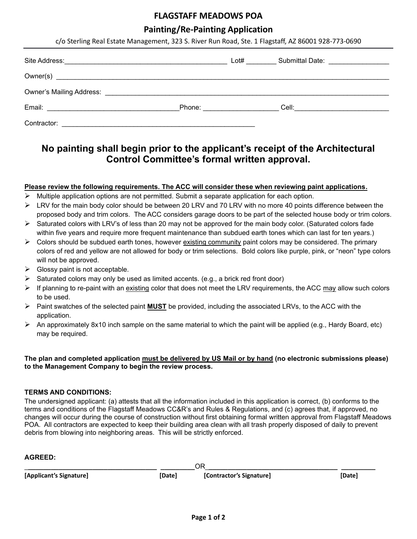## **FLAGSTAFF MEADOWS POA**

### **Painting/Re-Painting Application**

| c/o Sterling Real Estate Management, 323 S. River Run Road, Ste. 1 Flagstaff, AZ 86001 928-773-0690 |                                                                                                               |  |                                             |  |
|-----------------------------------------------------------------------------------------------------|---------------------------------------------------------------------------------------------------------------|--|---------------------------------------------|--|
|                                                                                                     |                                                                                                               |  | Submittal Date: Value of Alberta Contractor |  |
|                                                                                                     |                                                                                                               |  |                                             |  |
|                                                                                                     |                                                                                                               |  |                                             |  |
|                                                                                                     | Phone: 2008 2010 2021 2022 2022 2023 2024 2022 2022 2023 2024 2022 2023 2024 2022 2023 2024 2022 2023 2024 20 |  | Cell: ________________________              |  |
| Contractor:                                                                                         |                                                                                                               |  |                                             |  |

## **No painting shall begin prior to the applicant's receipt of the Architectural Control Committee's formal written approval.**

### **Please review the following requirements. The ACC will consider these when reviewing paint applications.**

- $\triangleright$  Multiple application options are not permitted. Submit a separate application for each option.
- ➢ LRV for the main body color should be between 20 LRV and 70 LRV with no more 40 points difference between the proposed body and trim colors.The ACC considers garage doors to be part of the selected house body or trim colors.
- $\triangleright$  Saturated colors with LRV's of less than 20 may not be approved for the main body color. (Saturated colors fade within five years and require more frequent maintenance than subdued earth tones which can last for ten years.)
- $\triangleright$  Colors should be subdued earth tones, however existing community paint colors may be considered. The primary colors of red and yellow are not allowed for body or trim selections. Bold colors like purple, pink, or "neon" type colors will not be approved.
- $\triangleright$  Glossy paint is not acceptable.
- Saturated colors may only be used as limited accents. (e.g., a brick red front door)
- $\triangleright$  If planning to re-paint with an existing color that does not meet the LRV requirements, the ACC may allow such colors to be used.
- ➢ Paint swatches of the selected paint **MUST** be provided, including the associated LRVs, to the ACC with the application.
- $\triangleright$  An approximately 8x10 inch sample on the same material to which the paint will be applied (e.g., Hardy Board, etc) may be required.

#### **The plan and completed application must be delivered by US Mail or by hand (no electronic submissions please) to the Management Company to begin the review process.**

## **TERMS AND CONDITIONS:**

The undersigned applicant: (a) attests that all the information included in this application is correct, (b) conforms to the terms and conditions of the Flagstaff Meadows CC&R's and Rules & Regulations, and (c) agrees that, if approved, no changes will occur during the course of construction without first obtaining formal written approval from Flagstaff Meadows POA. All contractors are expected to keep their building area clean with all trash properly disposed of daily to prevent debris from blowing into neighboring areas. This will be strictly enforced.

#### **AGREED:**